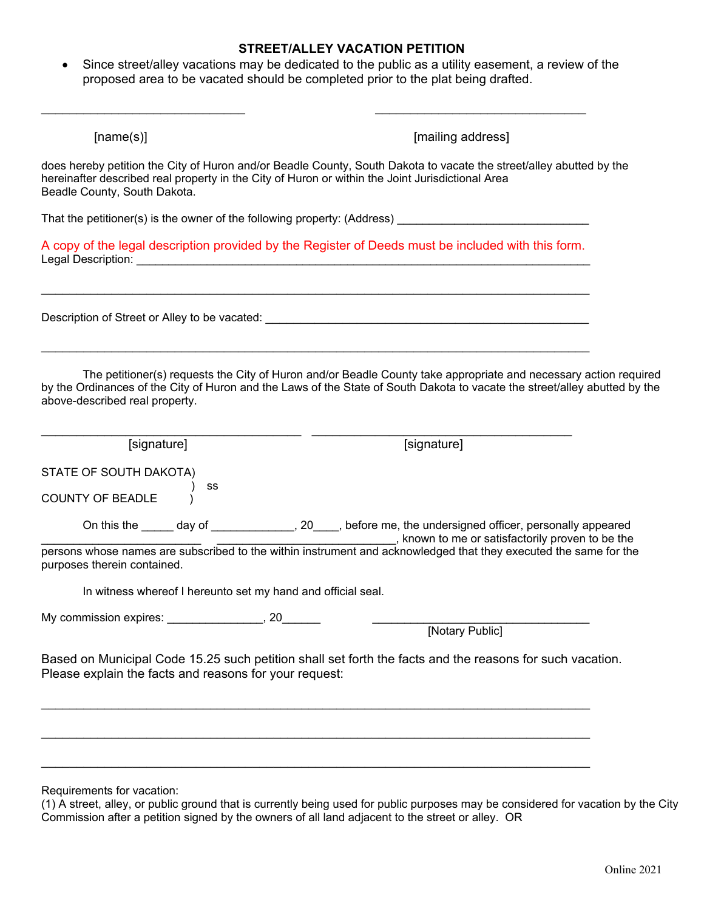## **STREET/ALLEY VACATION PETITION**

 Since street/alley vacations may be dedicated to the public as a utility easement, a review of the proposed area to be vacated should be completed prior to the plat being drafted.

\_\_\_\_\_\_\_\_\_\_\_\_\_\_\_\_\_\_\_\_\_\_\_\_\_\_\_\_\_ \_\_\_\_\_\_\_\_\_\_\_\_\_\_\_\_\_\_\_\_\_\_\_\_\_\_\_\_\_\_

| [name(s)]                                                                                                                                                                                                                                                                        | [mailing address]                                                                                                   |
|----------------------------------------------------------------------------------------------------------------------------------------------------------------------------------------------------------------------------------------------------------------------------------|---------------------------------------------------------------------------------------------------------------------|
| hereinafter described real property in the City of Huron or within the Joint Jurisdictional Area<br>Beadle County, South Dakota.                                                                                                                                                 | does hereby petition the City of Huron and/or Beadle County, South Dakota to vacate the street/alley abutted by the |
|                                                                                                                                                                                                                                                                                  |                                                                                                                     |
|                                                                                                                                                                                                                                                                                  | A copy of the legal description provided by the Register of Deeds must be included with this form.                  |
| Description of Street or Alley to be vacated: ___________________________________                                                                                                                                                                                                |                                                                                                                     |
| The petitioner(s) requests the City of Huron and/or Beadle County take appropriate and necessary action required<br>by the Ordinances of the City of Huron and the Laws of the State of South Dakota to vacate the street/alley abutted by the<br>above-described real property. |                                                                                                                     |
| [signature]                                                                                                                                                                                                                                                                      | [signature]                                                                                                         |
| STATE OF SOUTH DAKOTA)<br>SS<br>COUNTY OF BEADLE                                                                                                                                                                                                                                 |                                                                                                                     |
|                                                                                                                                                                                                                                                                                  | On this the ______ day of _______________, 20____, before me, the undersigned officer, personally appeared          |
| purposes therein contained.                                                                                                                                                                                                                                                      | ersons whose names are subscribed to the within instrument and acknowledged that they executed the same for the     |
| In witness whereof I hereunto set my hand and official seal.                                                                                                                                                                                                                     |                                                                                                                     |
|                                                                                                                                                                                                                                                                                  |                                                                                                                     |
|                                                                                                                                                                                                                                                                                  | [Notary Public]                                                                                                     |
| Please explain the facts and reasons for your request:                                                                                                                                                                                                                           | Based on Municipal Code 15.25 such petition shall set forth the facts and the reasons for such vacation.            |
|                                                                                                                                                                                                                                                                                  |                                                                                                                     |
|                                                                                                                                                                                                                                                                                  |                                                                                                                     |
| Requirements for vacation:                                                                                                                                                                                                                                                       |                                                                                                                     |

(1) A street, alley, or public ground that is currently being used for public purposes may be considered for vacation by the City Commission after a petition signed by the owners of all land adjacent to the street or alley. OR